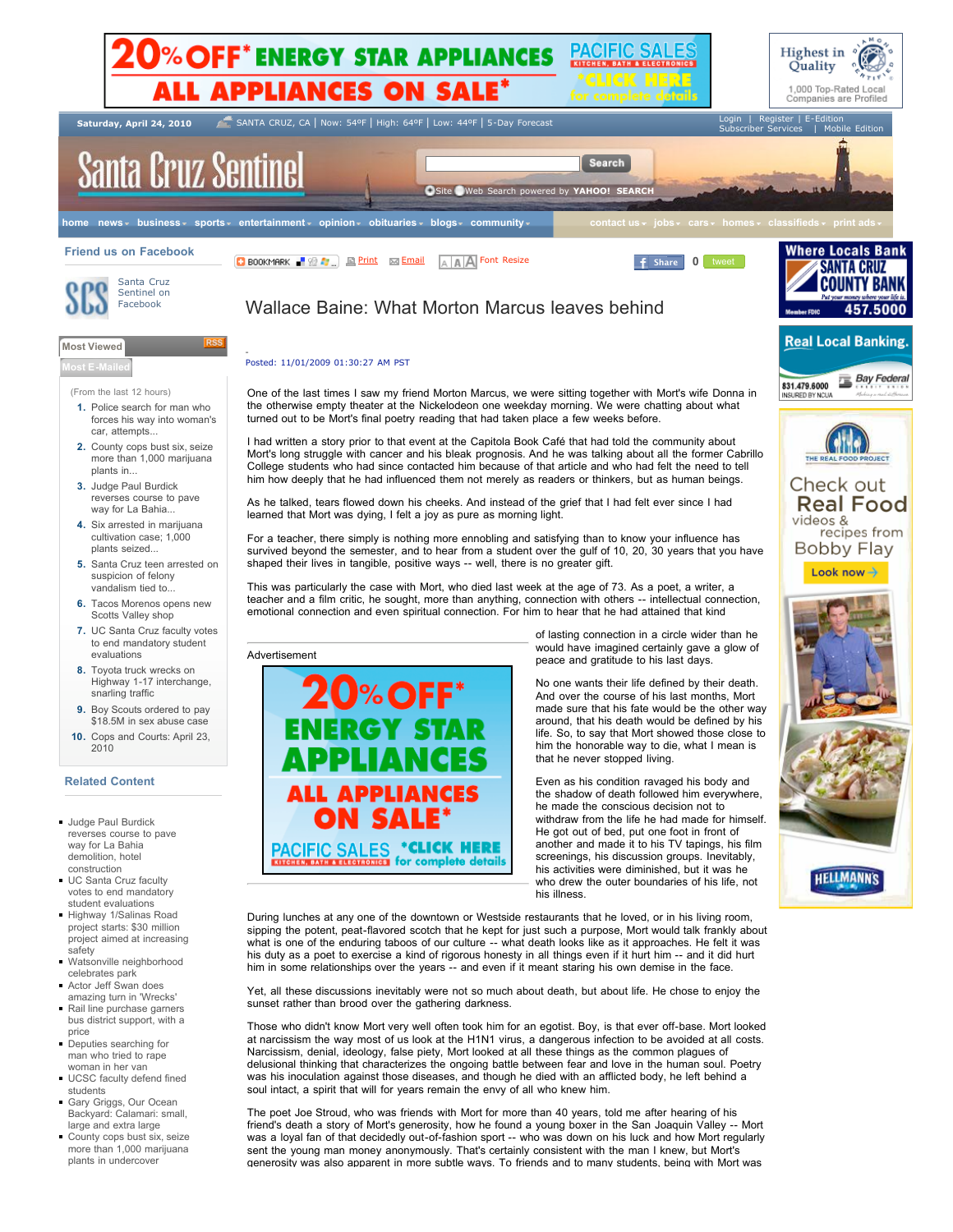

sent the young man money anonymously. That's certainly consistent with the man I knew, but Mort's generosity was also apparent in more subtle ways. To friends and to many students, being with Mort was

| County cops bust six, seize |
|-----------------------------|
|                             |
| more than 1,000 marijuana   |
| plants in undercover        |